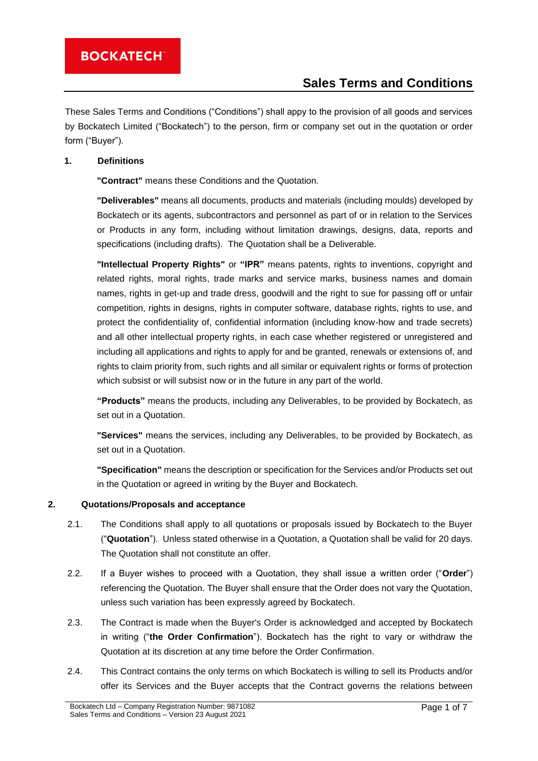These Sales Terms and Conditions ("Conditions") shall appy to the provision of all goods and services by Bockatech Limited ("Bockatech") to the person, firm or company set out in the quotation or order form ("Buyer").

### **1. Definitions**

**"Contract"** means these Conditions and the Quotation.

**"Deliverables"** means all documents, products and materials (including moulds) developed by Bockatech or its agents, subcontractors and personnel as part of or in relation to the Services or Products in any form, including without limitation drawings, designs, data, reports and specifications (including drafts). The Quotation shall be a Deliverable.

**"Intellectual Property Rights"** or **"IPR"** means patents, rights to inventions, copyright and related rights, moral rights, trade marks and service marks, business names and domain names, rights in get-up and trade dress, goodwill and the right to sue for passing off or unfair competition, rights in designs, rights in computer software, database rights, rights to use, and protect the confidentiality of, confidential information (including know-how and trade secrets) and all other intellectual property rights, in each case whether registered or unregistered and including all applications and rights to apply for and be granted, renewals or extensions of, and rights to claim priority from, such rights and all similar or equivalent rights or forms of protection which subsist or will subsist now or in the future in any part of the world.

**"Products"** means the products, including any Deliverables, to be provided by Bockatech, as set out in a Quotation.

**"Services"** means the services, including any Deliverables, to be provided by Bockatech, as set out in a Quotation.

**"Specification"** means the description or specification for the Services and/or Products set out in the Quotation or agreed in writing by the Buyer and Bockatech.

#### **2. Quotations/Proposals and acceptance**

- 2.1. The Conditions shall apply to all quotations or proposals issued by Bockatech to the Buyer ("**Quotation**"). Unless stated otherwise in a Quotation, a Quotation shall be valid for 20 days. The Quotation shall not constitute an offer.
- 2.2. If a Buyer wishes to proceed with a Quotation, they shall issue a written order ("**Order**") referencing the Quotation. The Buyer shall ensure that the Order does not vary the Quotation, unless such variation has been expressly agreed by Bockatech.
- 2.3. The Contract is made when the Buyer's Order is acknowledged and accepted by Bockatech in writing ("**the Order Confirmation**"). Bockatech has the right to vary or withdraw the Quotation at its discretion at any time before the Order Confirmation.
- 2.4. This Contract contains the only terms on which Bockatech is willing to sell its Products and/or offer its Services and the Buyer accepts that the Contract governs the relations between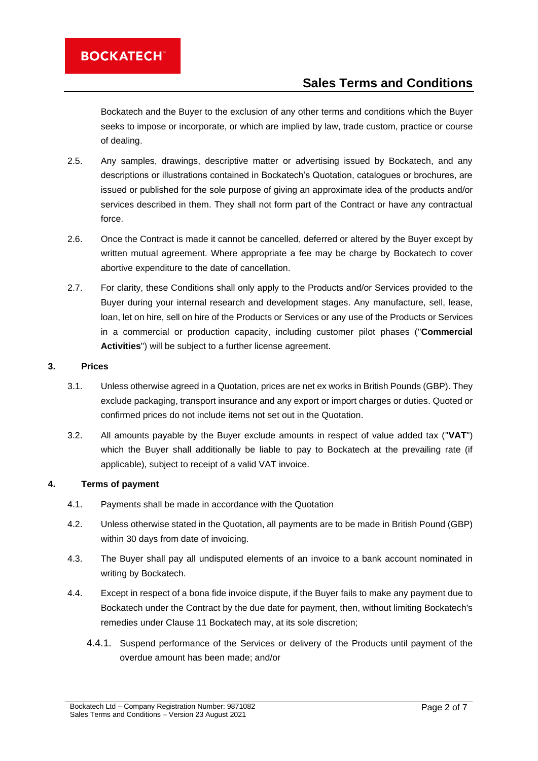Bockatech and the Buyer to the exclusion of any other terms and conditions which the Buyer seeks to impose or incorporate, or which are implied by law, trade custom, practice or course of dealing.

- 2.5. Any samples, drawings, descriptive matter or advertising issued by Bockatech, and any descriptions or illustrations contained in Bockatech's Quotation, catalogues or brochures, are issued or published for the sole purpose of giving an approximate idea of the products and/or services described in them. They shall not form part of the Contract or have any contractual force.
- 2.6. Once the Contract is made it cannot be cancelled, deferred or altered by the Buyer except by written mutual agreement. Where appropriate a fee may be charge by Bockatech to cover abortive expenditure to the date of cancellation.
- 2.7. For clarity, these Conditions shall only apply to the Products and/or Services provided to the Buyer during your internal research and development stages. Any manufacture, sell, lease, loan, let on hire, sell on hire of the Products or Services or any use of the Products or Services in a commercial or production capacity, including customer pilot phases ("**Commercial Activities**") will be subject to a further license agreement.

#### **3. Prices**

- 3.1. Unless otherwise agreed in a Quotation, prices are net ex works in British Pounds (GBP). They exclude packaging, transport insurance and any export or import charges or duties. Quoted or confirmed prices do not include items not set out in the Quotation.
- 3.2. All amounts payable by the Buyer exclude amounts in respect of value added tax ("**VAT**") which the Buyer shall additionally be liable to pay to Bockatech at the prevailing rate (if applicable), subject to receipt of a valid VAT invoice.

#### **4. Terms of payment**

- 4.1. Payments shall be made in accordance with the Quotation
- 4.2. Unless otherwise stated in the Quotation, all payments are to be made in British Pound (GBP) within 30 days from date of invoicing.
- 4.3. The Buyer shall pay all undisputed elements of an invoice to a bank account nominated in writing by Bockatech.
- 4.4. Except in respect of a bona fide invoice dispute, if the Buyer fails to make any payment due to Bockatech under the Contract by the due date for payment, then, without limiting Bockatech's remedies under Clause [11](#page-4-0) Bockatech may, at its sole discretion;
	- 4.4.1. Suspend performance of the Services or delivery of the Products until payment of the overdue amount has been made; and/or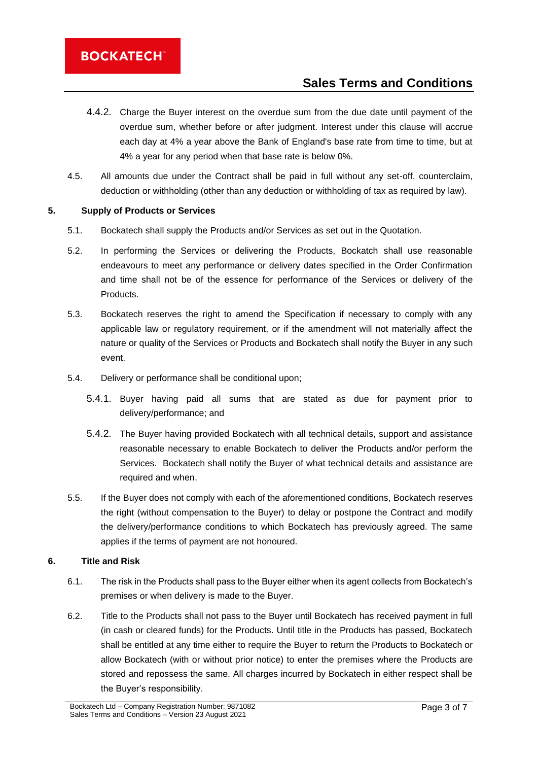- 4.4.2. Charge the Buyer interest on the overdue sum from the due date until payment of the overdue sum, whether before or after judgment. Interest under this clause will accrue each day at 4% a year above the Bank of England's base rate from time to time, but at 4% a year for any period when that base rate is below 0%.
- 4.5. All amounts due under the Contract shall be paid in full without any set-off, counterclaim, deduction or withholding (other than any deduction or withholding of tax as required by law).

### **5. Supply of Products or Services**

- 5.1. Bockatech shall supply the Products and/or Services as set out in the Quotation.
- 5.2. In performing the Services or delivering the Products, Bockatch shall use reasonable endeavours to meet any performance or delivery dates specified in the Order Confirmation and time shall not be of the essence for performance of the Services or delivery of the Products.
- 5.3. Bockatech reserves the right to amend the Specification if necessary to comply with any applicable law or regulatory requirement, or if the amendment will not materially affect the nature or quality of the Services or Products and Bockatech shall notify the Buyer in any such event.
- 5.4. Delivery or performance shall be conditional upon;
	- 5.4.1. Buyer having paid all sums that are stated as due for payment prior to delivery/performance; and
	- 5.4.2. The Buyer having provided Bockatech with all technical details, support and assistance reasonable necessary to enable Bockatech to deliver the Products and/or perform the Services. Bockatech shall notify the Buyer of what technical details and assistance are required and when.
- 5.5. If the Buyer does not comply with each of the aforementioned conditions, Bockatech reserves the right (without compensation to the Buyer) to delay or postpone the Contract and modify the delivery/performance conditions to which Bockatech has previously agreed. The same applies if the terms of payment are not honoured.

### **6. Title and Risk**

- 6.1. The risk in the Products shall pass to the Buyer either when its agent collects from Bockatech's premises or when delivery is made to the Buyer.
- 6.2. Title to the Products shall not pass to the Buyer until Bockatech has received payment in full (in cash or cleared funds) for the Products. Until title in the Products has passed, Bockatech shall be entitled at any time either to require the Buyer to return the Products to Bockatech or allow Bockatech (with or without prior notice) to enter the premises where the Products are stored and repossess the same. All charges incurred by Bockatech in either respect shall be the Buyer's responsibility.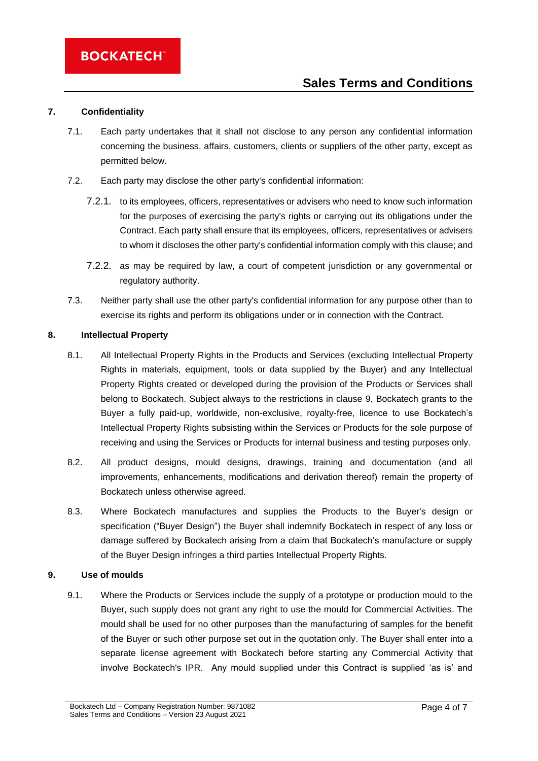#### **7. Confidentiality**

- 7.1. Each party undertakes that it shall not disclose to any person any confidential information concerning the business, affairs, customers, clients or suppliers of the other party, except as permitted below.
- 7.2. Each party may disclose the other party's confidential information:
	- 7.2.1. to its employees, officers, representatives or advisers who need to know such information for the purposes of exercising the party's rights or carrying out its obligations under the Contract. Each party shall ensure that its employees, officers, representatives or advisers to whom it discloses the other party's confidential information comply with this clause; and
	- 7.2.2. as may be required by law, a court of competent jurisdiction or any governmental or regulatory authority.
- 7.3. Neither party shall use the other party's confidential information for any purpose other than to exercise its rights and perform its obligations under or in connection with the Contract.

#### **8. Intellectual Property**

- 8.1. All Intellectual Property Rights in the Products and Services (excluding Intellectual Property Rights in materials, equipment, tools or data supplied by the Buyer) and any Intellectual Property Rights created or developed during the provision of the Products or Services shall belong to Bockatech. Subject always to the restrictions in clause 9, Bockatech grants to the Buyer a fully paid-up, worldwide, non-exclusive, royalty-free, licence to use Bockatech's Intellectual Property Rights subsisting within the Services or Products for the sole purpose of receiving and using the Services or Products for internal business and testing purposes only.
- 8.2. All product designs, mould designs, drawings, training and documentation (and all improvements, enhancements, modifications and derivation thereof) remain the property of Bockatech unless otherwise agreed.
- 8.3. Where Bockatech manufactures and supplies the Products to the Buyer's design or specification ("Buyer Design") the Buyer shall indemnify Bockatech in respect of any loss or damage suffered by Bockatech arising from a claim that Bockatech's manufacture or supply of the Buyer Design infringes a third parties Intellectual Property Rights.

### **9. Use of moulds**

9.1. Where the Products or Services include the supply of a prototype or production mould to the Buyer, such supply does not grant any right to use the mould for Commercial Activities. The mould shall be used for no other purposes than the manufacturing of samples for the benefit of the Buyer or such other purpose set out in the quotation only. The Buyer shall enter into a separate license agreement with Bockatech before starting any Commercial Activity that involve Bockatech's IPR. Any mould supplied under this Contract is supplied 'as is' and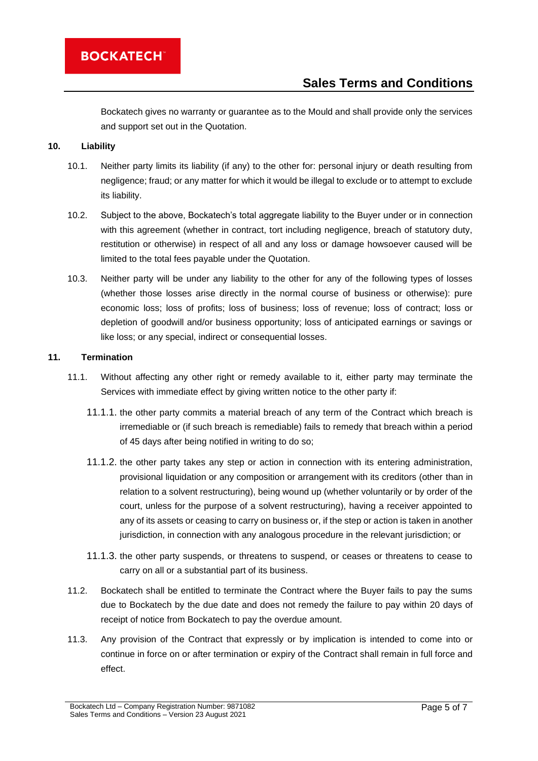Bockatech gives no warranty or guarantee as to the Mould and shall provide only the services and support set out in the Quotation.

### **10. Liability**

- 10.1. Neither party limits its liability (if any) to the other for: personal injury or death resulting from negligence; fraud; or any matter for which it would be illegal to exclude or to attempt to exclude its liability.
- 10.2. Subject to the above, Bockatech's total aggregate liability to the Buyer under or in connection with this agreement (whether in contract, tort including negligence, breach of statutory duty, restitution or otherwise) in respect of all and any loss or damage howsoever caused will be limited to the total fees payable under the Quotation.
- 10.3. Neither party will be under any liability to the other for any of the following types of losses (whether those losses arise directly in the normal course of business or otherwise): pure economic loss; loss of profits; loss of business; loss of revenue; loss of contract; loss or depletion of goodwill and/or business opportunity; loss of anticipated earnings or savings or like loss; or any special, indirect or consequential losses.

#### <span id="page-4-0"></span>**11. Termination**

- 11.1. Without affecting any other right or remedy available to it, either party may terminate the Services with immediate effect by giving written notice to the other party if:
	- 11.1.1. the other party commits a material breach of any term of the Contract which breach is irremediable or (if such breach is remediable) fails to remedy that breach within a period of 45 days after being notified in writing to do so;
	- 11.1.2. the other party takes any step or action in connection with its entering administration, provisional liquidation or any composition or arrangement with its creditors (other than in relation to a solvent restructuring), being wound up (whether voluntarily or by order of the court, unless for the purpose of a solvent restructuring), having a receiver appointed to any of its assets or ceasing to carry on business or, if the step or action is taken in another jurisdiction, in connection with any analogous procedure in the relevant jurisdiction; or
	- 11.1.3. the other party suspends, or threatens to suspend, or ceases or threatens to cease to carry on all or a substantial part of its business.
- 11.2. Bockatech shall be entitled to terminate the Contract where the Buyer fails to pay the sums due to Bockatech by the due date and does not remedy the failure to pay within 20 days of receipt of notice from Bockatech to pay the overdue amount.
- 11.3. Any provision of the Contract that expressly or by implication is intended to come into or continue in force on or after termination or expiry of the Contract shall remain in full force and effect.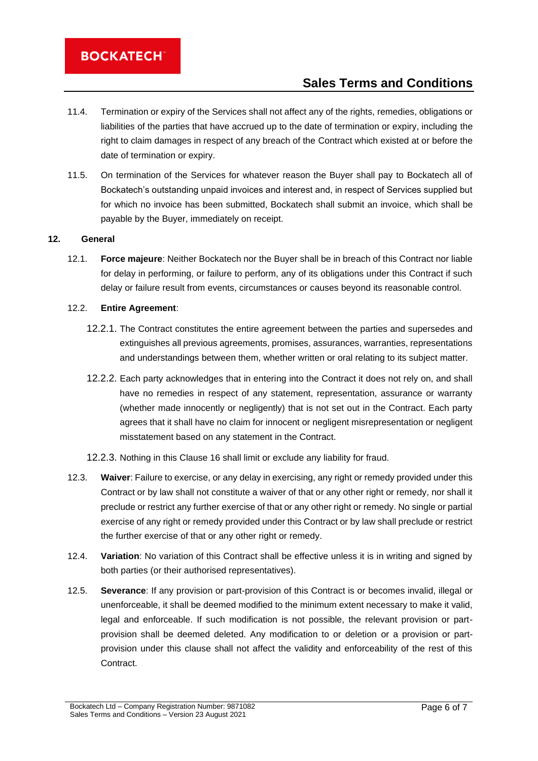- 11.4. Termination or expiry of the Services shall not affect any of the rights, remedies, obligations or liabilities of the parties that have accrued up to the date of termination or expiry, including the right to claim damages in respect of any breach of the Contract which existed at or before the date of termination or expiry.
- 11.5. On termination of the Services for whatever reason the Buyer shall pay to Bockatech all of Bockatech's outstanding unpaid invoices and interest and, in respect of Services supplied but for which no invoice has been submitted, Bockatech shall submit an invoice, which shall be payable by the Buyer, immediately on receipt.

#### **12. General**

12.1. **Force majeure**: Neither Bockatech nor the Buyer shall be in breach of this Contract nor liable for delay in performing, or failure to perform, any of its obligations under this Contract if such delay or failure result from events, circumstances or causes beyond its reasonable control.

### 12.2. **Entire Agreement**:

- 12.2.1. The Contract constitutes the entire agreement between the parties and supersedes and extinguishes all previous agreements, promises, assurances, warranties, representations and understandings between them, whether written or oral relating to its subject matter.
- 12.2.2. Each party acknowledges that in entering into the Contract it does not rely on, and shall have no remedies in respect of any statement, representation, assurance or warranty (whether made innocently or negligently) that is not set out in the Contract. Each party agrees that it shall have no claim for innocent or negligent misrepresentation or negligent misstatement based on any statement in the Contract.
- 12.2.3. Nothing in this Clause 16 shall limit or exclude any liability for fraud.
- 12.3. **Waiver**: Failure to exercise, or any delay in exercising, any right or remedy provided under this Contract or by law shall not constitute a waiver of that or any other right or remedy, nor shall it preclude or restrict any further exercise of that or any other right or remedy. No single or partial exercise of any right or remedy provided under this Contract or by law shall preclude or restrict the further exercise of that or any other right or remedy.
- 12.4. **Variation**: No variation of this Contract shall be effective unless it is in writing and signed by both parties (or their authorised representatives).
- 12.5. **Severance**: If any provision or part-provision of this Contract is or becomes invalid, illegal or unenforceable, it shall be deemed modified to the minimum extent necessary to make it valid, legal and enforceable. If such modification is not possible, the relevant provision or partprovision shall be deemed deleted. Any modification to or deletion or a provision or partprovision under this clause shall not affect the validity and enforceability of the rest of this **Contract.**